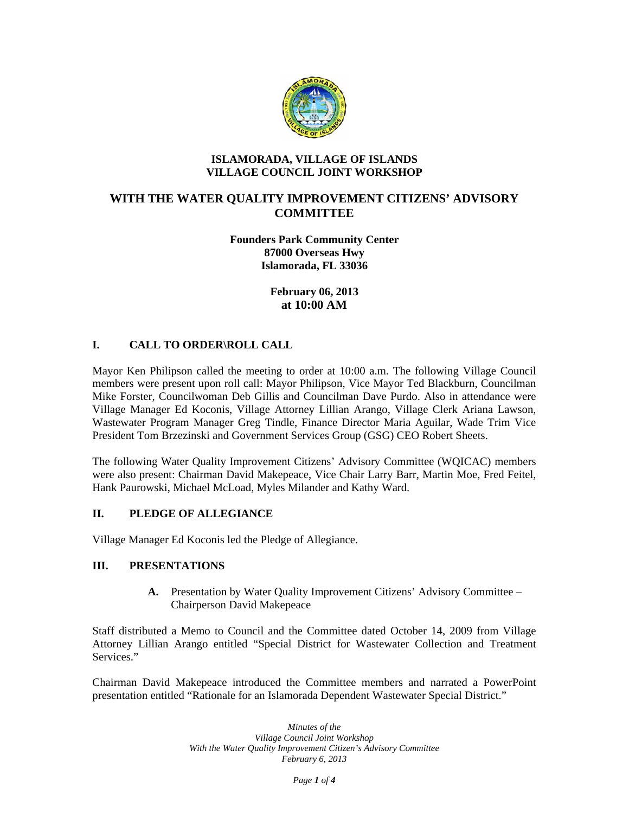

#### **ISLAMORADA, VILLAGE OF ISLANDS VILLAGE COUNCIL JOINT WORKSHOP**

# **WITH THE WATER QUALITY IMPROVEMENT CITIZENS' ADVISORY COMMITTEE**

**Founders Park Community Center 87000 Overseas Hwy Islamorada, FL 33036** 

> **February 06, 2013 at 10:00 AM**

## **I. CALL TO ORDER\ROLL CALL**

Mayor Ken Philipson called the meeting to order at 10:00 a.m. The following Village Council members were present upon roll call: Mayor Philipson, Vice Mayor Ted Blackburn, Councilman Mike Forster, Councilwoman Deb Gillis and Councilman Dave Purdo. Also in attendance were Village Manager Ed Koconis, Village Attorney Lillian Arango, Village Clerk Ariana Lawson, Wastewater Program Manager Greg Tindle, Finance Director Maria Aguilar, Wade Trim Vice President Tom Brzezinski and Government Services Group (GSG) CEO Robert Sheets.

The following Water Quality Improvement Citizens' Advisory Committee (WQICAC) members were also present: Chairman David Makepeace, Vice Chair Larry Barr, Martin Moe, Fred Feitel, Hank Paurowski, Michael McLoad, Myles Milander and Kathy Ward.

#### **II. PLEDGE OF ALLEGIANCE**

Village Manager Ed Koconis led the Pledge of Allegiance.

## **III. PRESENTATIONS**

**A.** Presentation by Water Quality Improvement Citizens' Advisory Committee – Chairperson David Makepeace

Staff distributed a Memo to Council and the Committee dated October 14, 2009 from Village Attorney Lillian Arango entitled "Special District for Wastewater Collection and Treatment Services."

Chairman David Makepeace introduced the Committee members and narrated a PowerPoint presentation entitled "Rationale for an Islamorada Dependent Wastewater Special District."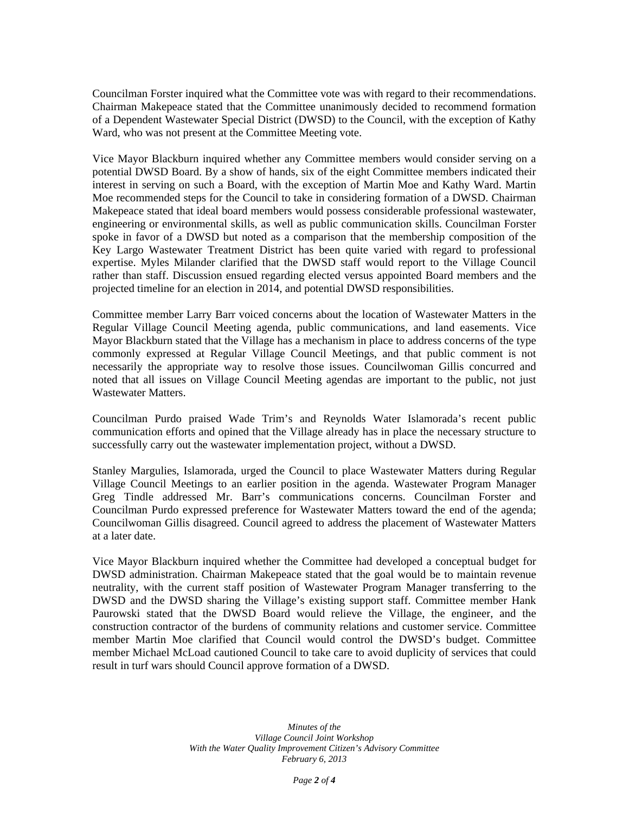Councilman Forster inquired what the Committee vote was with regard to their recommendations. Chairman Makepeace stated that the Committee unanimously decided to recommend formation of a Dependent Wastewater Special District (DWSD) to the Council, with the exception of Kathy Ward, who was not present at the Committee Meeting vote.

Vice Mayor Blackburn inquired whether any Committee members would consider serving on a potential DWSD Board. By a show of hands, six of the eight Committee members indicated their interest in serving on such a Board, with the exception of Martin Moe and Kathy Ward. Martin Moe recommended steps for the Council to take in considering formation of a DWSD. Chairman Makepeace stated that ideal board members would possess considerable professional wastewater, engineering or environmental skills, as well as public communication skills. Councilman Forster spoke in favor of a DWSD but noted as a comparison that the membership composition of the Key Largo Wastewater Treatment District has been quite varied with regard to professional expertise. Myles Milander clarified that the DWSD staff would report to the Village Council rather than staff. Discussion ensued regarding elected versus appointed Board members and the projected timeline for an election in 2014, and potential DWSD responsibilities.

Committee member Larry Barr voiced concerns about the location of Wastewater Matters in the Regular Village Council Meeting agenda, public communications, and land easements. Vice Mayor Blackburn stated that the Village has a mechanism in place to address concerns of the type commonly expressed at Regular Village Council Meetings, and that public comment is not necessarily the appropriate way to resolve those issues. Councilwoman Gillis concurred and noted that all issues on Village Council Meeting agendas are important to the public, not just Wastewater Matters.

Councilman Purdo praised Wade Trim's and Reynolds Water Islamorada's recent public communication efforts and opined that the Village already has in place the necessary structure to successfully carry out the wastewater implementation project, without a DWSD.

Stanley Margulies, Islamorada, urged the Council to place Wastewater Matters during Regular Village Council Meetings to an earlier position in the agenda. Wastewater Program Manager Greg Tindle addressed Mr. Barr's communications concerns. Councilman Forster and Councilman Purdo expressed preference for Wastewater Matters toward the end of the agenda; Councilwoman Gillis disagreed. Council agreed to address the placement of Wastewater Matters at a later date.

Vice Mayor Blackburn inquired whether the Committee had developed a conceptual budget for DWSD administration. Chairman Makepeace stated that the goal would be to maintain revenue neutrality, with the current staff position of Wastewater Program Manager transferring to the DWSD and the DWSD sharing the Village's existing support staff. Committee member Hank Paurowski stated that the DWSD Board would relieve the Village, the engineer, and the construction contractor of the burdens of community relations and customer service. Committee member Martin Moe clarified that Council would control the DWSD's budget. Committee member Michael McLoad cautioned Council to take care to avoid duplicity of services that could result in turf wars should Council approve formation of a DWSD.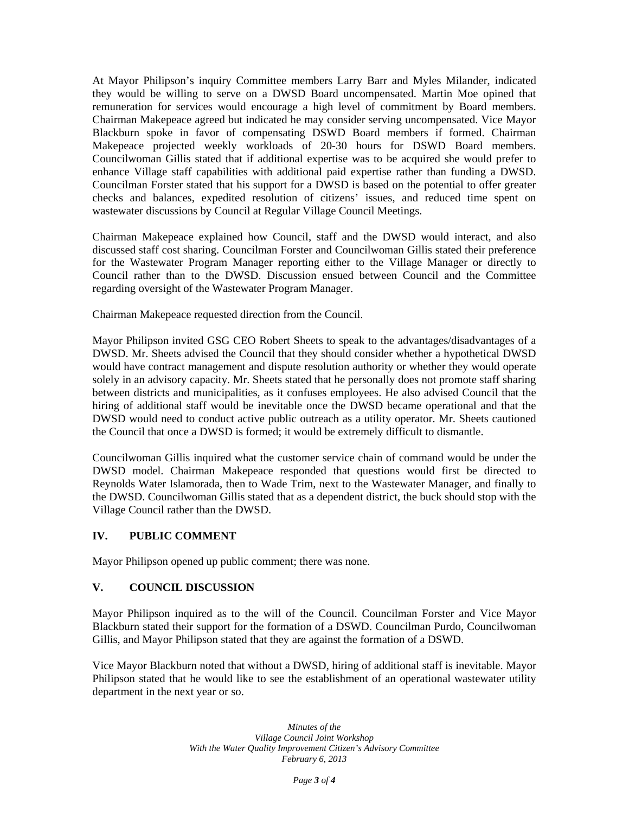At Mayor Philipson's inquiry Committee members Larry Barr and Myles Milander, indicated they would be willing to serve on a DWSD Board uncompensated. Martin Moe opined that remuneration for services would encourage a high level of commitment by Board members. Chairman Makepeace agreed but indicated he may consider serving uncompensated. Vice Mayor Blackburn spoke in favor of compensating DSWD Board members if formed. Chairman Makepeace projected weekly workloads of 20-30 hours for DSWD Board members. Councilwoman Gillis stated that if additional expertise was to be acquired she would prefer to enhance Village staff capabilities with additional paid expertise rather than funding a DWSD. Councilman Forster stated that his support for a DWSD is based on the potential to offer greater checks and balances, expedited resolution of citizens' issues, and reduced time spent on wastewater discussions by Council at Regular Village Council Meetings.

Chairman Makepeace explained how Council, staff and the DWSD would interact, and also discussed staff cost sharing. Councilman Forster and Councilwoman Gillis stated their preference for the Wastewater Program Manager reporting either to the Village Manager or directly to Council rather than to the DWSD. Discussion ensued between Council and the Committee regarding oversight of the Wastewater Program Manager.

Chairman Makepeace requested direction from the Council.

Mayor Philipson invited GSG CEO Robert Sheets to speak to the advantages/disadvantages of a DWSD. Mr. Sheets advised the Council that they should consider whether a hypothetical DWSD would have contract management and dispute resolution authority or whether they would operate solely in an advisory capacity. Mr. Sheets stated that he personally does not promote staff sharing between districts and municipalities, as it confuses employees. He also advised Council that the hiring of additional staff would be inevitable once the DWSD became operational and that the DWSD would need to conduct active public outreach as a utility operator. Mr. Sheets cautioned the Council that once a DWSD is formed; it would be extremely difficult to dismantle.

Councilwoman Gillis inquired what the customer service chain of command would be under the DWSD model. Chairman Makepeace responded that questions would first be directed to Reynolds Water Islamorada, then to Wade Trim, next to the Wastewater Manager, and finally to the DWSD. Councilwoman Gillis stated that as a dependent district, the buck should stop with the Village Council rather than the DWSD.

## **IV. PUBLIC COMMENT**

Mayor Philipson opened up public comment; there was none.

## **V. COUNCIL DISCUSSION**

Mayor Philipson inquired as to the will of the Council. Councilman Forster and Vice Mayor Blackburn stated their support for the formation of a DSWD. Councilman Purdo, Councilwoman Gillis, and Mayor Philipson stated that they are against the formation of a DSWD.

Vice Mayor Blackburn noted that without a DWSD, hiring of additional staff is inevitable. Mayor Philipson stated that he would like to see the establishment of an operational wastewater utility department in the next year or so.